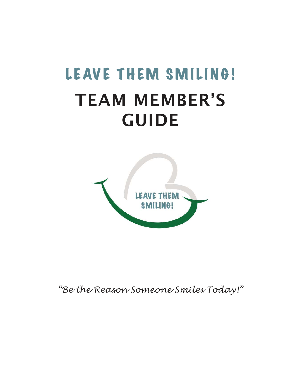## LEAVE THEM SMILING! TEAM MEMBER'S GUIDE



*"Be the Reason Someone Smiles Today!"*